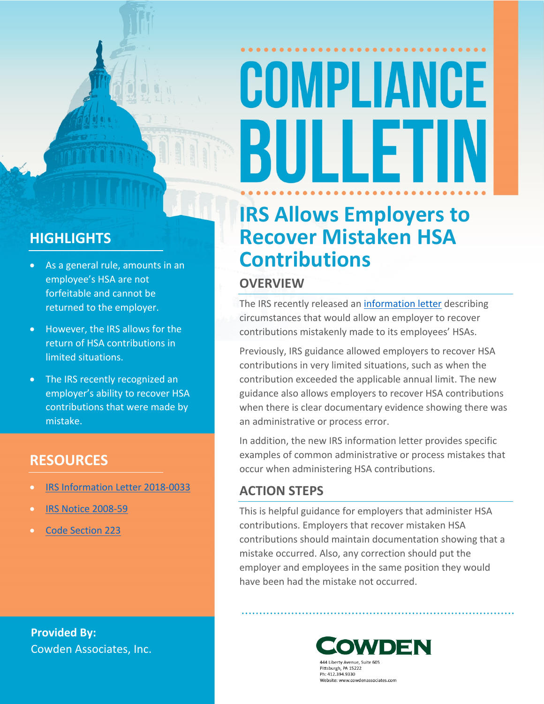# COMPLIANCE BULLET

### **HIGHLIGHTS**

- As a general rule, amounts in an employee's HSA are not forfeitable and cannot be returned to the employer.
- However, the IRS allows for the return of HSA contributions in limited situations.
- The IRS recently recognized an employer's ability to recover HSA contributions that were made by mistake.

### **RESOURCES**

- [IRS Information Letter 2018-0033](https://www.irs.gov/pub/irs-wd/18-0033.pdf)
- [IRS Notice 2008-59](https://www.irs.gov/pub/irs-drop/n-08-59.pdf)
- [Code Section 223](https://www.law.cornell.edu/uscode/text/26/223)

**Provided By:** Cowden Associates, Inc.

### **IRS Allows Employers to Recover Mistaken HSA Contributions**

### **OVERVIEW**

The IRS recently released an [information letter](https://www.irs.gov/pub/irs-wd/18-0033.pdf) describing circumstances that would allow an employer to recover contributions mistakenly made to its employees' HSAs.

Previously, IRS guidance allowed employers to recover HSA contributions in very limited situations, such as when the contribution exceeded the applicable annual limit. The new guidance also allows employers to recover HSA contributions when there is clear documentary evidence showing there was an administrative or process error.

In addition, the new IRS information letter provides specific examples of common administrative or process mistakes that occur when administering HSA contributions.

### **ACTION STEPS**

This is helpful guidance for employers that administer HSA contributions. Employers that recover mistaken HSA contributions should maintain documentation showing that a mistake occurred. Also, any correction should put the employer and employees in the same position they would have been had the mistake not occurred.



Pittsburgh, PA 15222 Ph: 412.394.9330 Website: www.cowdenassociates.com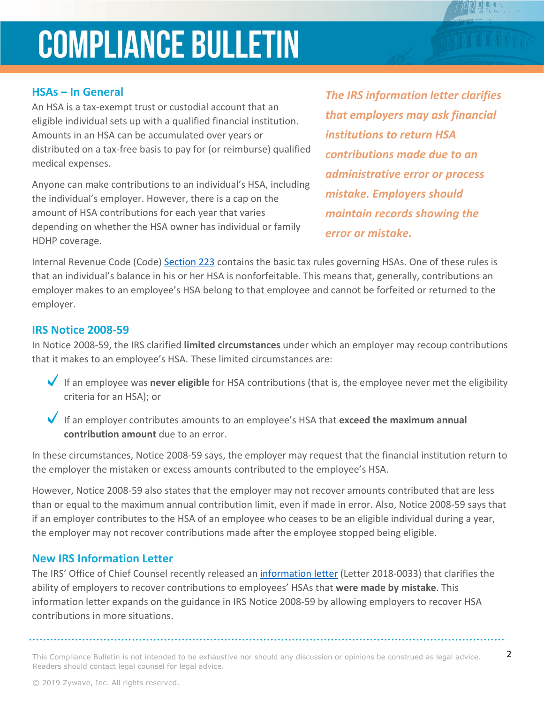### **COMPLIANCE BULLETIN**

#### **HSAs – In General**

An HSA is a tax-exempt trust or custodial account that an eligible individual sets up with a qualified financial institution. Amounts in an HSA can be accumulated over years or distributed on a tax-free basis to pay for (or reimburse) qualified medical expenses.

Anyone can make contributions to an individual's HSA, including the individual's employer. However, there is a cap on the amount of HSA contributions for each year that varies depending on whether the HSA owner has individual or family HDHP coverage.

*The IRS information letter clarifies that employers may ask financial institutions to return HSA contributions made due to an administrative error or process mistake. Employers should maintain records showing the error or mistake.* 

Internal Revenue Code (Code) [Section 223](https://www.law.cornell.edu/uscode/text/26/223) contains the basic tax rules governing HSAs. One of these rules is that an individual's balance in his or her HSA is nonforfeitable. This means that, generally, contributions an employer makes to an employee's HSA belong to that employee and cannot be forfeited or returned to the employer.

#### **IRS Notice 2008-59**

In Notice 2008-59, the IRS clarified **limited circumstances** under which an employer may recoup contributions that it makes to an employee's HSA. These limited circumstances are:

- If an employee was **never eligible** for HSA contributions (that is, the employee never met the eligibility criteria for an HSA); or
- If an employer contributes amounts to an employee's HSA that **exceed the maximum annual contribution amount** due to an error.

In these circumstances, Notice 2008-59 says, the employer may request that the financial institution return to the employer the mistaken or excess amounts contributed to the employee's HSA.

However, Notice 2008-59 also states that the employer may not recover amounts contributed that are less than or equal to the maximum annual contribution limit, even if made in error. Also, Notice 2008-59 says that if an employer contributes to the HSA of an employee who ceases to be an eligible individual during a year, the employer may not recover contributions made after the employee stopped being eligible.

### **New IRS Information Letter**

The IRS' Office of Chief Counsel recently released an [information letter](https://www.irs.gov/pub/irs-wd/18-0033.pdf) (Letter 2018-0033) that clarifies the ability of employers to recover contributions to employees' HSAs that **were made by mistake**. This information letter expands on the guidance in IRS Notice 2008-59 by allowing employers to recover HSA contributions in more situations.

This Compliance Bulletin is not intended to be exhaustive nor should any discussion or opinions be construed as legal advice.  $2$ Readers should contact legal counsel for legal advice.